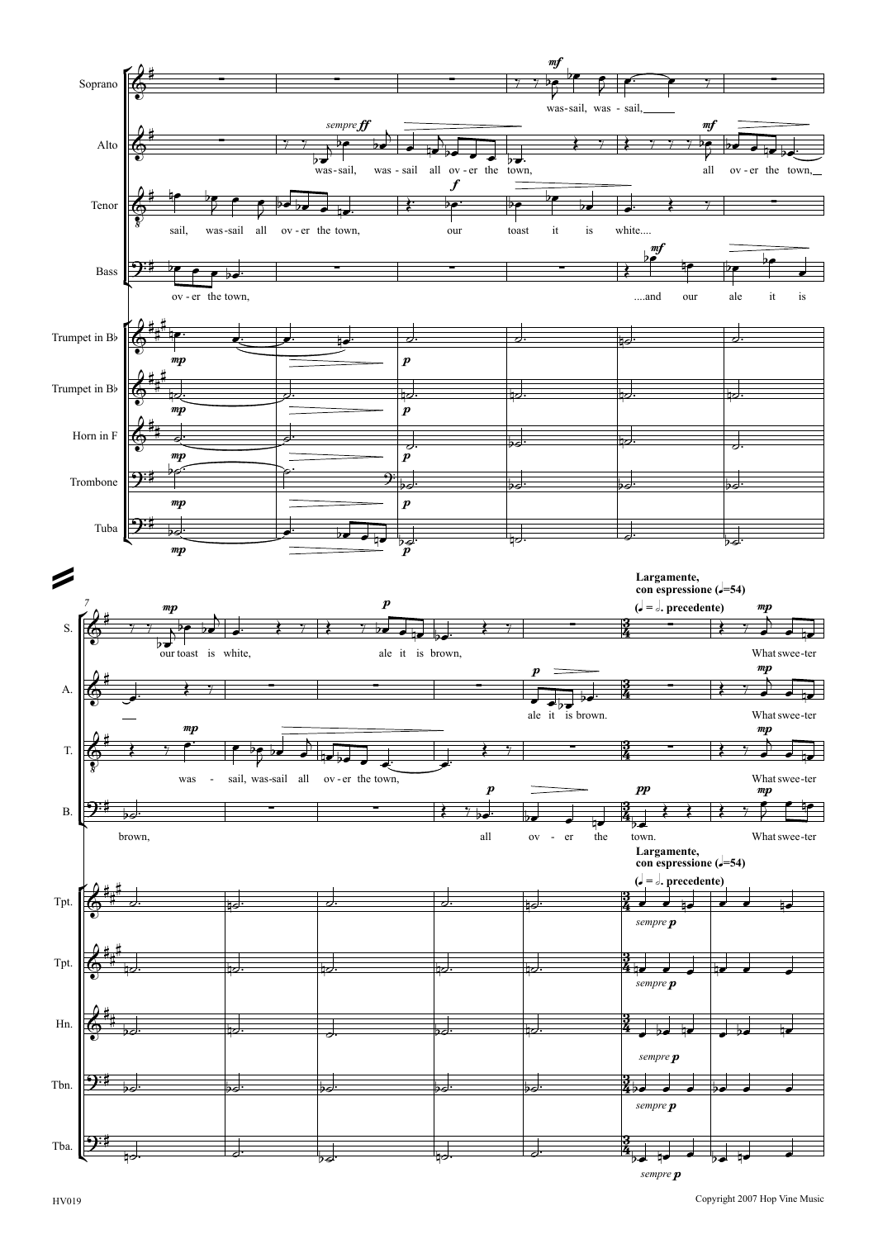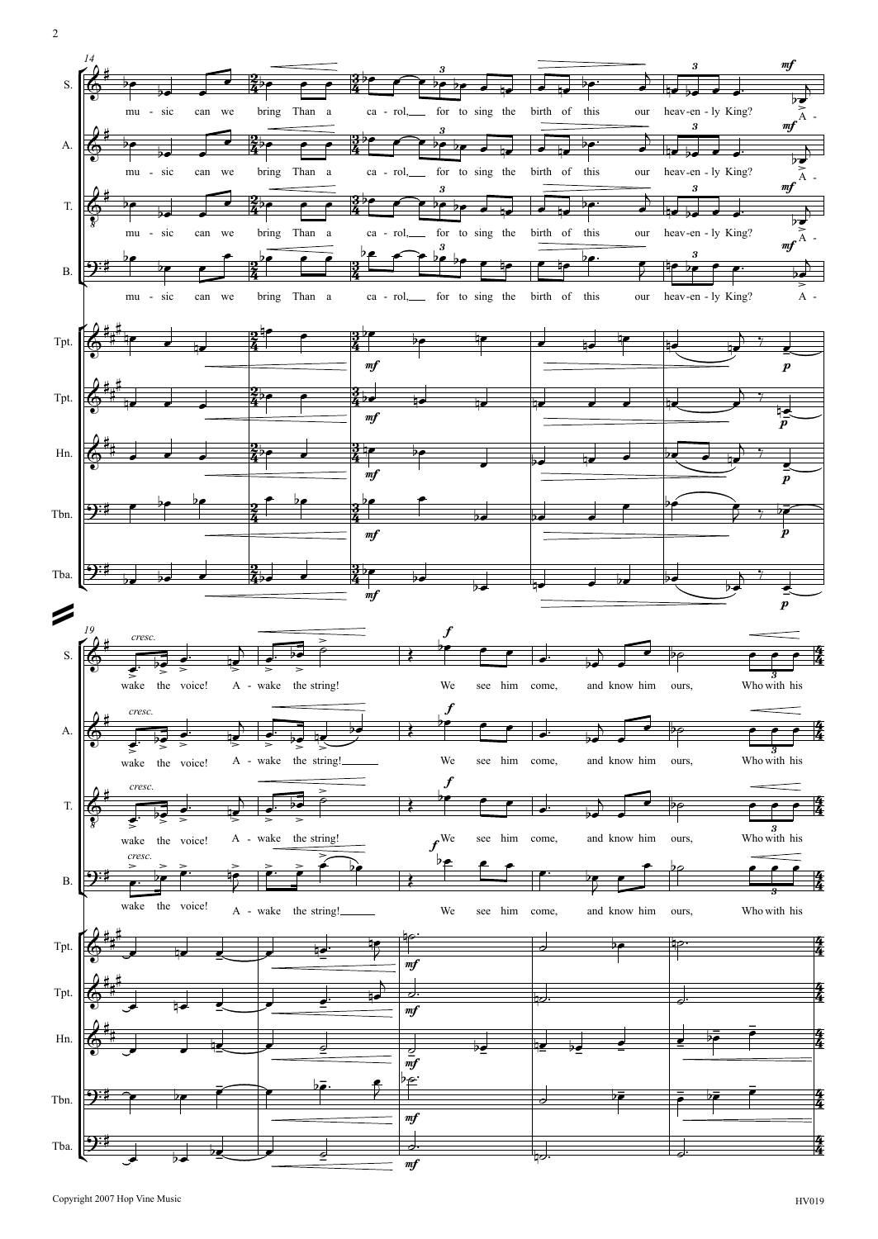